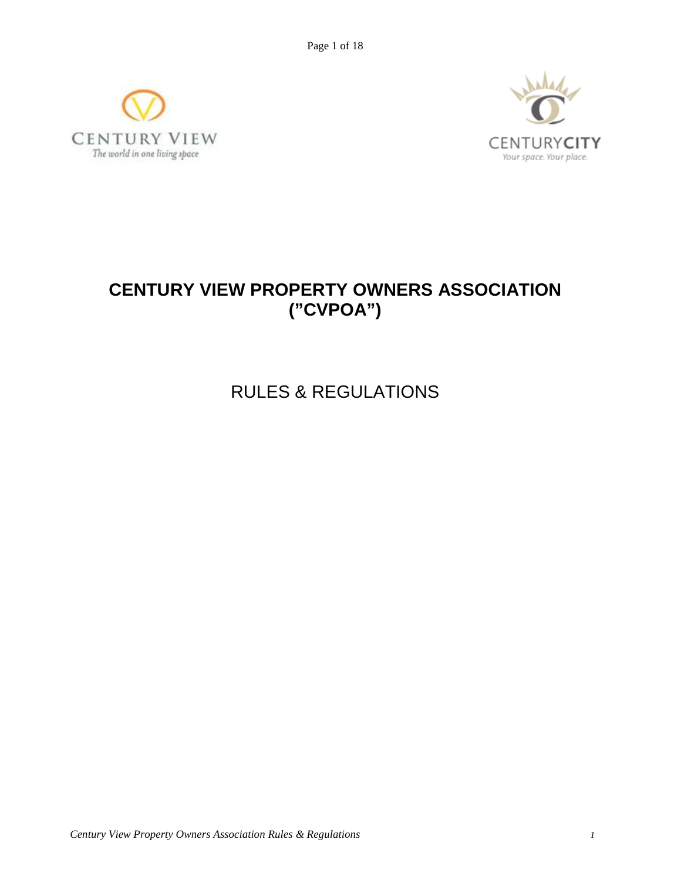Page 1 of 18





# **CENTURY VIEW PROPERTY OWNERS ASSOCIATION ("CVPOA")**

RULES & REGULATIONS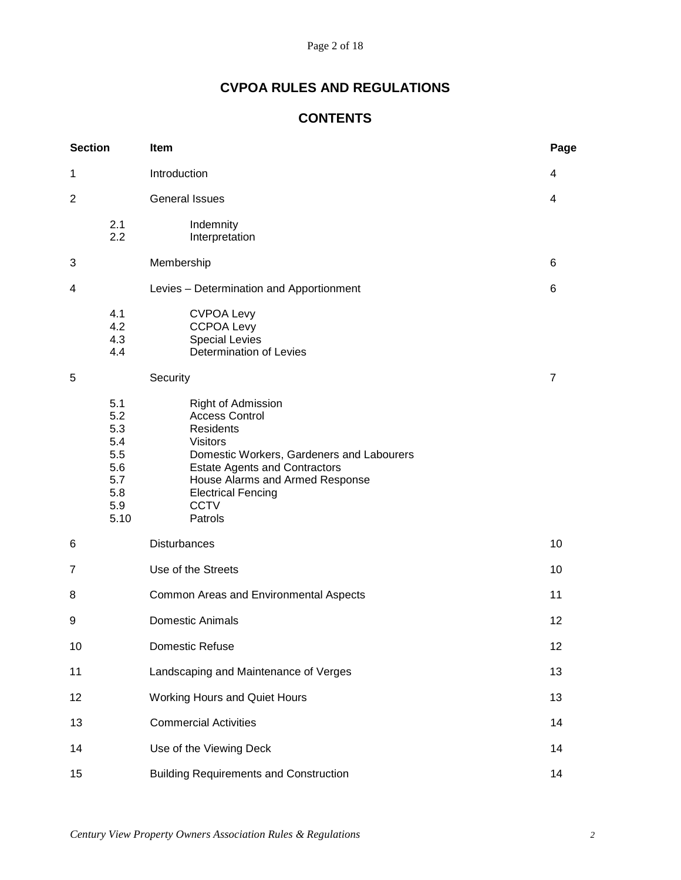# **CVPOA RULES AND REGULATIONS**

# **CONTENTS**

| <b>Section</b> |                                                                     | Item                                                                                                                                                                                                                                                              | Page           |
|----------------|---------------------------------------------------------------------|-------------------------------------------------------------------------------------------------------------------------------------------------------------------------------------------------------------------------------------------------------------------|----------------|
| 1              |                                                                     | Introduction                                                                                                                                                                                                                                                      | 4              |
| $\overline{2}$ |                                                                     | <b>General Issues</b>                                                                                                                                                                                                                                             | 4              |
|                | 2.1<br>2.2                                                          | Indemnity<br>Interpretation                                                                                                                                                                                                                                       |                |
| 3              |                                                                     | Membership                                                                                                                                                                                                                                                        | 6              |
| 4              |                                                                     | Levies - Determination and Apportionment                                                                                                                                                                                                                          | 6              |
|                | 4.1<br>4.2<br>4.3<br>4.4                                            | <b>CVPOA Levy</b><br><b>CCPOA Levy</b><br><b>Special Levies</b><br>Determination of Levies                                                                                                                                                                        |                |
| 5              |                                                                     | Security                                                                                                                                                                                                                                                          | $\overline{7}$ |
|                | 5.1<br>5.2<br>5.3<br>5.4<br>5.5<br>5.6<br>5.7<br>5.8<br>5.9<br>5.10 | Right of Admission<br><b>Access Control</b><br><b>Residents</b><br><b>Visitors</b><br>Domestic Workers, Gardeners and Labourers<br><b>Estate Agents and Contractors</b><br>House Alarms and Armed Response<br><b>Electrical Fencing</b><br><b>CCTV</b><br>Patrols |                |
| 6              |                                                                     | Disturbances                                                                                                                                                                                                                                                      | 10             |
| 7              |                                                                     | Use of the Streets                                                                                                                                                                                                                                                | 10             |
| 8              |                                                                     | Common Areas and Environmental Aspects                                                                                                                                                                                                                            | 11             |
| 9              |                                                                     | <b>Domestic Animals</b>                                                                                                                                                                                                                                           | 12             |
| 10             |                                                                     | Domestic Refuse                                                                                                                                                                                                                                                   | 12             |
| 11             |                                                                     | Landscaping and Maintenance of Verges                                                                                                                                                                                                                             | 13             |
| 12             |                                                                     | <b>Working Hours and Quiet Hours</b>                                                                                                                                                                                                                              | 13             |
| 13             |                                                                     | <b>Commercial Activities</b>                                                                                                                                                                                                                                      | 14             |
| 14             |                                                                     | Use of the Viewing Deck                                                                                                                                                                                                                                           | 14             |
| 15             |                                                                     | <b>Building Requirements and Construction</b>                                                                                                                                                                                                                     | 14             |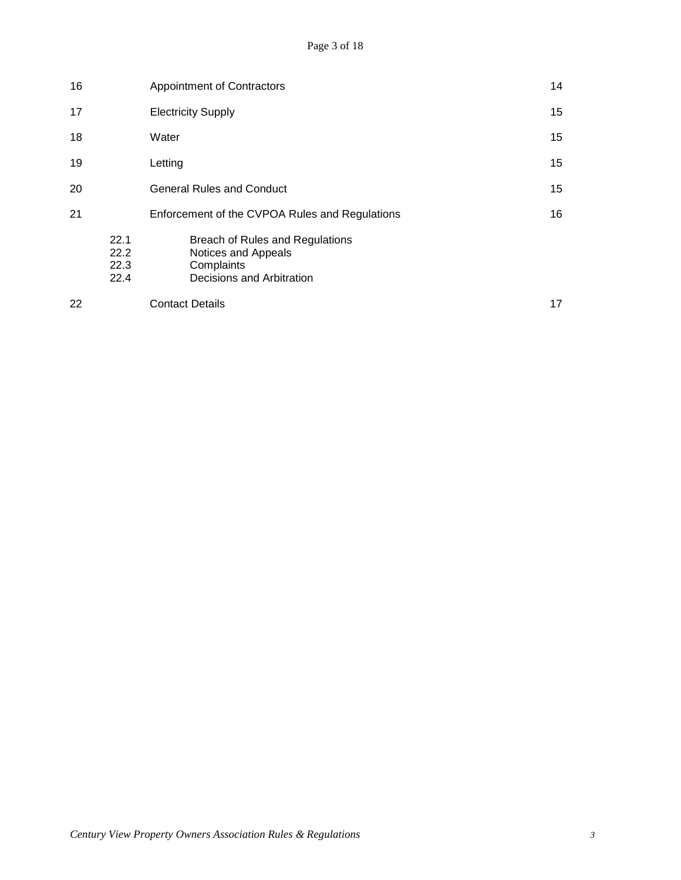| 16 |                              | Appointment of Contractors                                                                        |    |
|----|------------------------------|---------------------------------------------------------------------------------------------------|----|
| 17 |                              | <b>Electricity Supply</b>                                                                         | 15 |
| 18 |                              | Water                                                                                             | 15 |
| 19 |                              | Letting                                                                                           | 15 |
| 20 |                              | <b>General Rules and Conduct</b>                                                                  | 15 |
| 21 |                              | Enforcement of the CVPOA Rules and Regulations                                                    | 16 |
|    | 22.1<br>22.2<br>22.3<br>22.4 | Breach of Rules and Regulations<br>Notices and Appeals<br>Complaints<br>Decisions and Arbitration |    |
| 22 |                              | <b>Contact Details</b>                                                                            | 17 |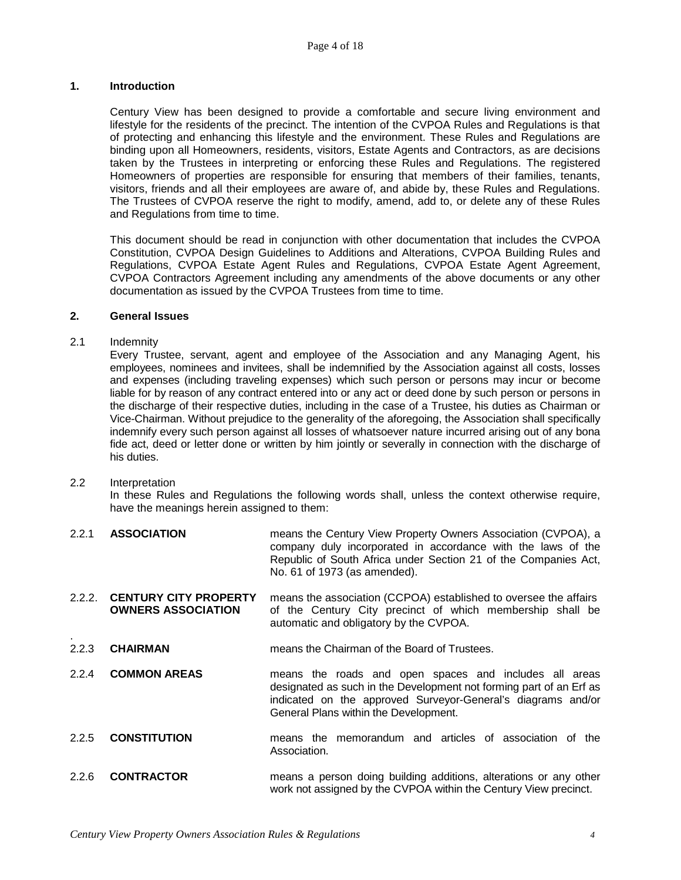# **1. Introduction**

Century View has been designed to provide a comfortable and secure living environment and lifestyle for the residents of the precinct. The intention of the CVPOA Rules and Regulations is that of protecting and enhancing this lifestyle and the environment. These Rules and Regulations are binding upon all Homeowners, residents, visitors, Estate Agents and Contractors, as are decisions taken by the Trustees in interpreting or enforcing these Rules and Regulations. The registered Homeowners of properties are responsible for ensuring that members of their families, tenants, visitors, friends and all their employees are aware of, and abide by, these Rules and Regulations. The Trustees of CVPOA reserve the right to modify, amend, add to, or delete any of these Rules and Regulations from time to time.

This document should be read in conjunction with other documentation that includes the CVPOA Constitution, CVPOA Design Guidelines to Additions and Alterations, CVPOA Building Rules and Regulations, CVPOA Estate Agent Rules and Regulations, CVPOA Estate Agent Agreement, CVPOA Contractors Agreement including any amendments of the above documents or any other documentation as issued by the CVPOA Trustees from time to time.

# **2. General Issues**

# 2.1 Indemnity

Every Trustee, servant, agent and employee of the Association and any Managing Agent, his employees, nominees and invitees, shall be indemnified by the Association against all costs, losses and expenses (including traveling expenses) which such person or persons may incur or become liable for by reason of any contract entered into or any act or deed done by such person or persons in the discharge of their respective duties, including in the case of a Trustee, his duties as Chairman or Vice-Chairman. Without prejudice to the generality of the aforegoing, the Association shall specifically indemnify every such person against all losses of whatsoever nature incurred arising out of any bona fide act, deed or letter done or written by him jointly or severally in connection with the discharge of his duties.

# 2.2 Interpretation

In these Rules and Regulations the following words shall, unless the context otherwise require, have the meanings herein assigned to them:

- 2.2.1 **ASSOCIATION** means the Century View Property Owners Association (CVPOA), a company duly incorporated in accordance with the laws of the Republic of South Africa under Section 21 of the Companies Act, No. 61 of 1973 (as amended).
- 2.2.2. **CENTURY CITY PROPERTY** means the association (CCPOA) established to oversee the affairs of the Century City precinct of which membership shall be automatic and obligatory by the CVPOA.
- . 2.2.3 **CHAIRMAN** means the Chairman of the Board of Trustees.
- 2.2.4 **COMMON AREAS** means the roads and open spaces and includes all areas designated as such in the Development not forming part of an Erf as indicated on the approved Surveyor-General's diagrams and/or General Plans within the Development.
- 2.2.5 **CONSTITUTION** means the memorandum and articles of association of the Association.
- 2.2.6 **CONTRACTOR** means a person doing building additions, alterations or any other work not assigned by the CVPOA within the Century View precinct.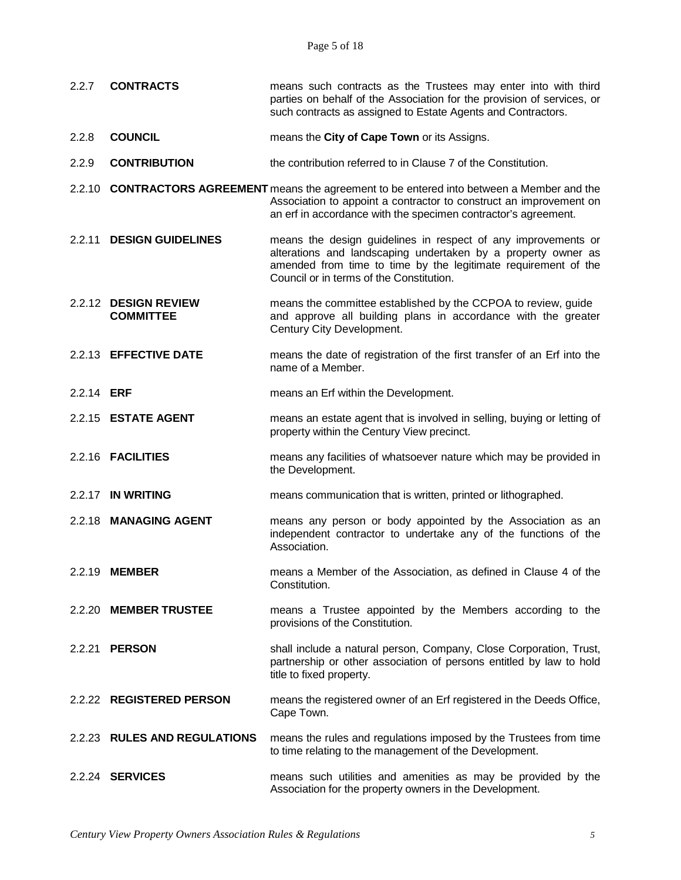| 2.2.7             | <b>CONTRACTS</b>                         | means such contracts as the Trustees may enter into with third<br>parties on behalf of the Association for the provision of services, or<br>such contracts as assigned to Estate Agents and Contractors.                                     |  |
|-------------------|------------------------------------------|----------------------------------------------------------------------------------------------------------------------------------------------------------------------------------------------------------------------------------------------|--|
| 2.2.8             | <b>COUNCIL</b>                           | means the City of Cape Town or its Assigns.                                                                                                                                                                                                  |  |
| 2.2.9             | <b>CONTRIBUTION</b>                      | the contribution referred to in Clause 7 of the Constitution.                                                                                                                                                                                |  |
|                   |                                          | 2.2.10 CONTRACTORS AGREEMENT means the agreement to be entered into between a Member and the<br>Association to appoint a contractor to construct an improvement on<br>an erf in accordance with the specimen contractor's agreement.         |  |
|                   | 2.2.11 DESIGN GUIDELINES                 | means the design guidelines in respect of any improvements or<br>alterations and landscaping undertaken by a property owner as<br>amended from time to time by the legitimate requirement of the<br>Council or in terms of the Constitution. |  |
|                   | 2.2.12 DESIGN REVIEW<br><b>COMMITTEE</b> | means the committee established by the CCPOA to review, guide<br>and approve all building plans in accordance with the greater<br>Century City Development.                                                                                  |  |
|                   | 2.2.13 EFFECTIVE DATE                    | means the date of registration of the first transfer of an Erf into the<br>name of a Member.                                                                                                                                                 |  |
| 2.2.14 <b>ERF</b> |                                          | means an Erf within the Development.                                                                                                                                                                                                         |  |
|                   | 2.2.15 ESTATE AGENT                      | means an estate agent that is involved in selling, buying or letting of<br>property within the Century View precinct.                                                                                                                        |  |
|                   | 2.2.16 <b>FACILITIES</b>                 | means any facilities of whatsoever nature which may be provided in<br>the Development.                                                                                                                                                       |  |
|                   | 2.2.17 IN WRITING                        | means communication that is written, printed or lithographed.                                                                                                                                                                                |  |
|                   | 2.2.18 MANAGING AGENT                    | means any person or body appointed by the Association as an<br>independent contractor to undertake any of the functions of the<br>Association.                                                                                               |  |
|                   | 2.2.19 MEMBER                            | means a Member of the Association, as defined in Clause 4 of the<br>Constitution.                                                                                                                                                            |  |
|                   | 2.2.20 MEMBER TRUSTEE                    | means a Trustee appointed by the Members according to the<br>provisions of the Constitution.                                                                                                                                                 |  |
|                   | 2.2.21 <b>PERSON</b>                     | shall include a natural person, Company, Close Corporation, Trust,<br>partnership or other association of persons entitled by law to hold<br>title to fixed property.                                                                        |  |
|                   | 2.2.22 REGISTERED PERSON                 | means the registered owner of an Erf registered in the Deeds Office,<br>Cape Town.                                                                                                                                                           |  |
|                   | 2.2.23 RULES AND REGULATIONS             | means the rules and regulations imposed by the Trustees from time<br>to time relating to the management of the Development.                                                                                                                  |  |
|                   | 2.2.24 SERVICES                          | means such utilities and amenities as may be provided by the<br>Association for the property owners in the Development.                                                                                                                      |  |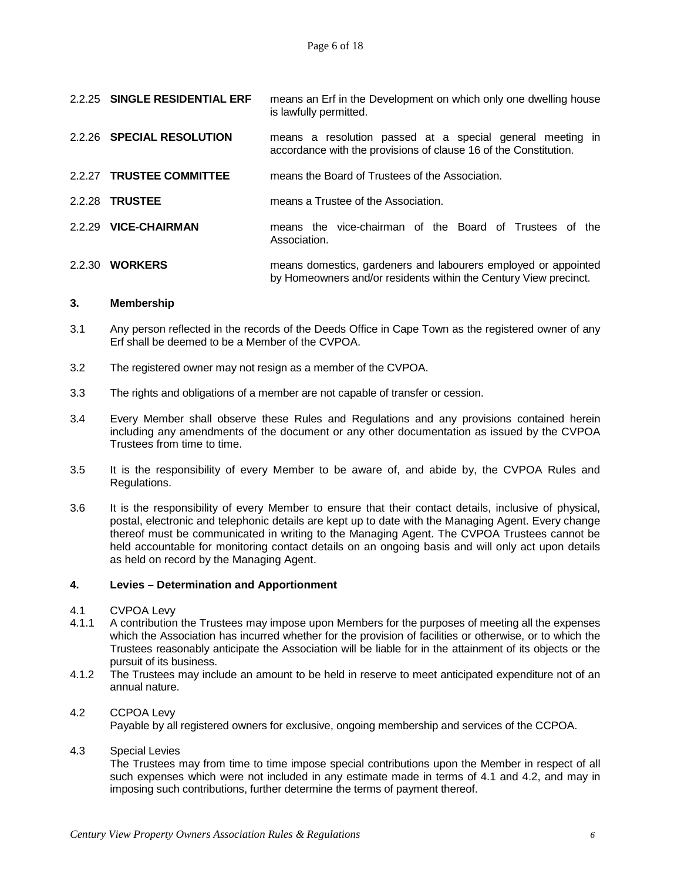|        | 2.2.25 SINGLE RESIDENTIAL ERF | means an Erf in the Development on which only one dwelling house<br>is lawfully permitted.                                         |
|--------|-------------------------------|------------------------------------------------------------------------------------------------------------------------------------|
|        | 2.2.26 SPECIAL RESOLUTION     | means a resolution passed at a special general meeting in<br>accordance with the provisions of clause 16 of the Constitution.      |
|        | 2.2.27 TRUSTEE COMMITTEE      | means the Board of Trustees of the Association.                                                                                    |
|        | 2.2.28 TRUSTEE                | means a Trustee of the Association.                                                                                                |
|        | 2.2.29 VICE-CHAIRMAN          | means the vice-chairman of the Board of Trustees of the<br>Association.                                                            |
| 2.2.30 | <b>WORKERS</b>                | means domestics, gardeners and labourers employed or appointed<br>by Homeowners and/or residents within the Century View precinct. |

#### **3. Membership**

- 3.1 Any person reflected in the records of the Deeds Office in Cape Town as the registered owner of any Erf shall be deemed to be a Member of the CVPOA.
- 3.2 The registered owner may not resign as a member of the CVPOA.
- 3.3 The rights and obligations of a member are not capable of transfer or cession.
- 3.4 Every Member shall observe these Rules and Regulations and any provisions contained herein including any amendments of the document or any other documentation as issued by the CVPOA Trustees from time to time.
- 3.5 It is the responsibility of every Member to be aware of, and abide by, the CVPOA Rules and Regulations.
- 3.6 It is the responsibility of every Member to ensure that their contact details, inclusive of physical, postal, electronic and telephonic details are kept up to date with the Managing Agent. Every change thereof must be communicated in writing to the Managing Agent. The CVPOA Trustees cannot be held accountable for monitoring contact details on an ongoing basis and will only act upon details as held on record by the Managing Agent.

#### **4. Levies – Determination and Apportionment**

- 4.1 CVPOA Levy<br>4.1.1 A contribution
- 4.1.1 A contribution the Trustees may impose upon Members for the purposes of meeting all the expenses which the Association has incurred whether for the provision of facilities or otherwise, or to which the Trustees reasonably anticipate the Association will be liable for in the attainment of its objects or the pursuit of its business.
- 4.1.2 The Trustees may include an amount to be held in reserve to meet anticipated expenditure not of an annual nature.

#### 4.2 CCPOA Levy

Payable by all registered owners for exclusive, ongoing membership and services of the CCPOA.

4.3 Special Levies

The Trustees may from time to time impose special contributions upon the Member in respect of all such expenses which were not included in any estimate made in terms of 4.1 and 4.2, and may in imposing such contributions, further determine the terms of payment thereof.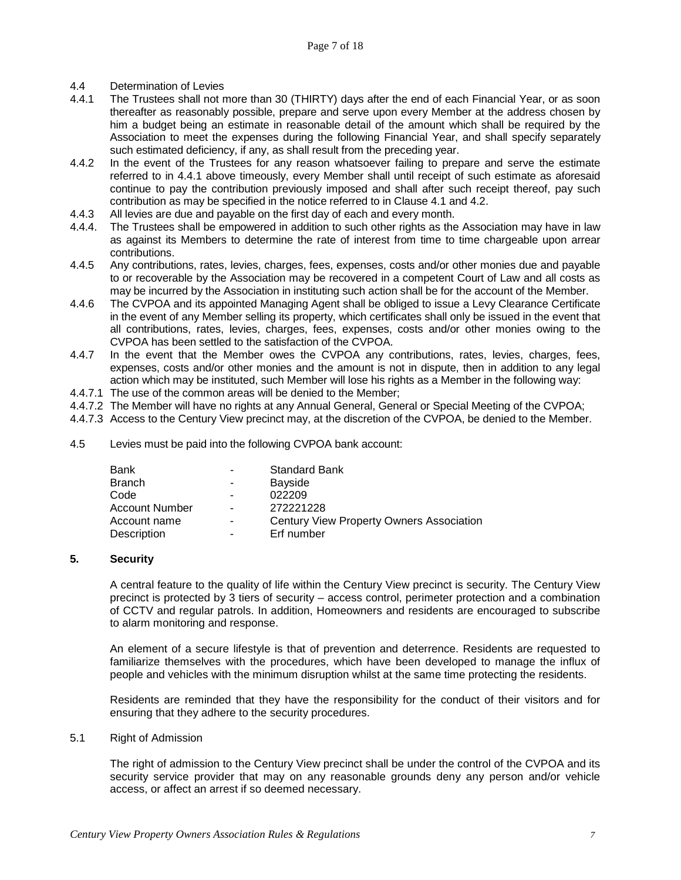- 4.4 Determination of Levies<br>4.4.1 The Trustees shall not r
- The Trustees shall not more than 30 (THIRTY) days after the end of each Financial Year, or as soon thereafter as reasonably possible, prepare and serve upon every Member at the address chosen by him a budget being an estimate in reasonable detail of the amount which shall be required by the Association to meet the expenses during the following Financial Year, and shall specify separately such estimated deficiency, if any, as shall result from the preceding year.
- 4.4.2 In the event of the Trustees for any reason whatsoever failing to prepare and serve the estimate referred to in 4.4.1 above timeously, every Member shall until receipt of such estimate as aforesaid continue to pay the contribution previously imposed and shall after such receipt thereof, pay such contribution as may be specified in the notice referred to in Clause 4.1 and 4.2.
- 4.4.3 All levies are due and payable on the first day of each and every month.
- 4.4.4. The Trustees shall be empowered in addition to such other rights as the Association may have in law as against its Members to determine the rate of interest from time to time chargeable upon arrear contributions.
- 4.4.5 Any contributions, rates, levies, charges, fees, expenses, costs and/or other monies due and payable to or recoverable by the Association may be recovered in a competent Court of Law and all costs as may be incurred by the Association in instituting such action shall be for the account of the Member.
- 4.4.6 The CVPOA and its appointed Managing Agent shall be obliged to issue a Levy Clearance Certificate in the event of any Member selling its property, which certificates shall only be issued in the event that all contributions, rates, levies, charges, fees, expenses, costs and/or other monies owing to the CVPOA has been settled to the satisfaction of the CVPOA.
- 4.4.7 In the event that the Member owes the CVPOA any contributions, rates, levies, charges, fees, expenses, costs and/or other monies and the amount is not in dispute, then in addition to any legal action which may be instituted, such Member will lose his rights as a Member in the following way:
- 4.4.7.1 The use of the common areas will be denied to the Member;
- 4.4.7.2 The Member will have no rights at any Annual General, General or Special Meeting of the CVPOA;
- 4.4.7.3 Access to the Century View precinct may, at the discretion of the CVPOA, be denied to the Member.
- 4.5 Levies must be paid into the following CVPOA bank account:

| Bank           | $\blacksquare$ | <b>Standard Bank</b>                     |
|----------------|----------------|------------------------------------------|
| Branch         |                | Bayside                                  |
| Code           | ۰              | 022209                                   |
| Account Number | -              | 272221228                                |
| Account name   | ۰.             | Century View Property Owners Association |
| Description    |                | Erf number                               |

# **5. Security**

A central feature to the quality of life within the Century View precinct is security. The Century View precinct is protected by 3 tiers of security – access control, perimeter protection and a combination of CCTV and regular patrols. In addition, Homeowners and residents are encouraged to subscribe to alarm monitoring and response.

An element of a secure lifestyle is that of prevention and deterrence. Residents are requested to familiarize themselves with the procedures, which have been developed to manage the influx of people and vehicles with the minimum disruption whilst at the same time protecting the residents.

Residents are reminded that they have the responsibility for the conduct of their visitors and for ensuring that they adhere to the security procedures.

#### 5.1 Right of Admission

The right of admission to the Century View precinct shall be under the control of the CVPOA and its security service provider that may on any reasonable grounds deny any person and/or vehicle access, or affect an arrest if so deemed necessary.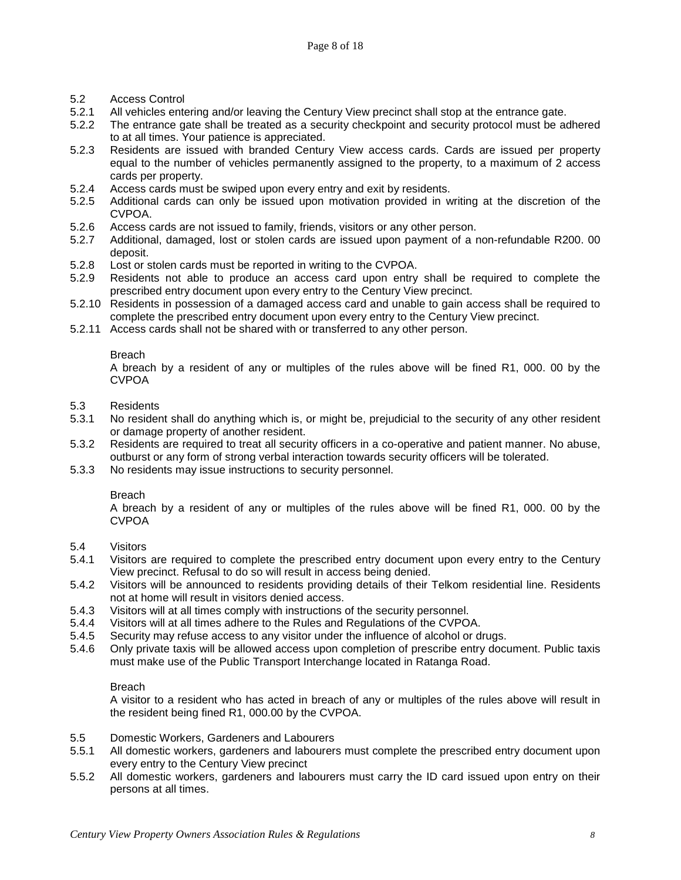- 5.2 Access Control
- 5.2.1 All vehicles entering and/or leaving the Century View precinct shall stop at the entrance gate.<br>5.2.2 The entrance gate shall be treated as a security checkpoint and security protocol must be ad
- The entrance gate shall be treated as a security checkpoint and security protocol must be adhered to at all times. Your patience is appreciated.
- 5.2.3 Residents are issued with branded Century View access cards. Cards are issued per property equal to the number of vehicles permanently assigned to the property, to a maximum of 2 access cards per property.
- 5.2.4 Access cards must be swiped upon every entry and exit by residents.<br>5.2.5 Additional cards can only be issued upon motivation provided in w
- 5.2.5 Additional cards can only be issued upon motivation provided in writing at the discretion of the CVPOA.
- 5.2.6 Access cards are not issued to family, friends, visitors or any other person.<br>5.2.7 Additional, damaged, lost or stolen cards are issued upon payment of a r
- 5.2.7 Additional, damaged, lost or stolen cards are issued upon payment of a non-refundable R200. 00 deposit.
- 5.2.8 Lost or stolen cards must be reported in writing to the CVPOA.<br>5.2.9 Residents not able to produce an access card upon entry
- 5.2.9 Residents not able to produce an access card upon entry shall be required to complete the prescribed entry document upon every entry to the Century View precinct.
- 5.2.10 Residents in possession of a damaged access card and unable to gain access shall be required to complete the prescribed entry document upon every entry to the Century View precinct.
- 5.2.11 Access cards shall not be shared with or transferred to any other person.

A breach by a resident of any or multiples of the rules above will be fined R1, 000. 00 by the CVPOA

- 5.3 Residents
- No resident shall do anything which is, or might be, prejudicial to the security of any other resident or damage property of another resident.
- 5.3.2 Residents are required to treat all security officers in a co-operative and patient manner. No abuse, outburst or any form of strong verbal interaction towards security officers will be tolerated.
- 5.3.3 No residents may issue instructions to security personnel.

#### Breach

A breach by a resident of any or multiples of the rules above will be fined R1, 000. 00 by the CVPOA

- 5.4 Visitors
- 5.4.1 Visitors are required to complete the prescribed entry document upon every entry to the Century View precinct. Refusal to do so will result in access being denied.
- 5.4.2 Visitors will be announced to residents providing details of their Telkom residential line. Residents not at home will result in visitors denied access.
- 5.4.3 Visitors will at all times comply with instructions of the security personnel.<br>5.4.4 Visitors will at all times adhere to the Rules and Regulations of the CVPO.
- 5.4.4 Visitors will at all times adhere to the Rules and Regulations of the CVPOA.
- 5.4.5 Security may refuse access to any visitor under the influence of alcohol or drugs.
- 5.4.6 Only private taxis will be allowed access upon completion of prescribe entry document. Public taxis must make use of the Public Transport Interchange located in Ratanga Road.

# Breach

A visitor to a resident who has acted in breach of any or multiples of the rules above will result in the resident being fined R1, 000.00 by the CVPOA.

- 5.5 Domestic Workers, Gardeners and Labourers
- 5.5.1 All domestic workers, gardeners and labourers must complete the prescribed entry document upon every entry to the Century View precinct
- 5.5.2 All domestic workers, gardeners and labourers must carry the ID card issued upon entry on their persons at all times.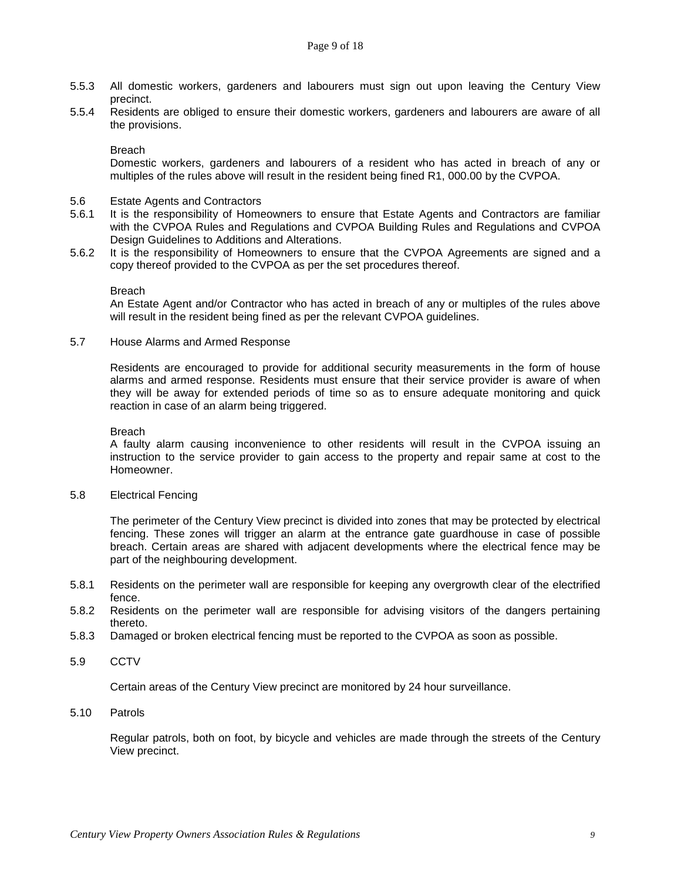- 5.5.3 All domestic workers, gardeners and labourers must sign out upon leaving the Century View precinct.
- 5.5.4 Residents are obliged to ensure their domestic workers, gardeners and labourers are aware of all the provisions.

Domestic workers, gardeners and labourers of a resident who has acted in breach of any or multiples of the rules above will result in the resident being fined R1, 000.00 by the CVPOA.

- 5.6 Estate Agents and Contractors
- 5.6.1 It is the responsibility of Homeowners to ensure that Estate Agents and Contractors are familiar with the CVPOA Rules and Regulations and CVPOA Building Rules and Regulations and CVPOA Design Guidelines to Additions and Alterations.
- 5.6.2 It is the responsibility of Homeowners to ensure that the CVPOA Agreements are signed and a copy thereof provided to the CVPOA as per the set procedures thereof.

#### Breach

An Estate Agent and/or Contractor who has acted in breach of any or multiples of the rules above will result in the resident being fined as per the relevant CVPOA guidelines.

5.7 House Alarms and Armed Response

Residents are encouraged to provide for additional security measurements in the form of house alarms and armed response. Residents must ensure that their service provider is aware of when they will be away for extended periods of time so as to ensure adequate monitoring and quick reaction in case of an alarm being triggered.

#### **Breach**

A faulty alarm causing inconvenience to other residents will result in the CVPOA issuing an instruction to the service provider to gain access to the property and repair same at cost to the Homeowner.

5.8 Electrical Fencing

The perimeter of the Century View precinct is divided into zones that may be protected by electrical fencing. These zones will trigger an alarm at the entrance gate guardhouse in case of possible breach. Certain areas are shared with adjacent developments where the electrical fence may be part of the neighbouring development.

- 5.8.1 Residents on the perimeter wall are responsible for keeping any overgrowth clear of the electrified fence.
- 5.8.2 Residents on the perimeter wall are responsible for advising visitors of the dangers pertaining thereto.
- 5.8.3 Damaged or broken electrical fencing must be reported to the CVPOA as soon as possible.
- 5.9 CCTV

Certain areas of the Century View precinct are monitored by 24 hour surveillance.

#### 5.10 Patrols

Regular patrols, both on foot, by bicycle and vehicles are made through the streets of the Century View precinct.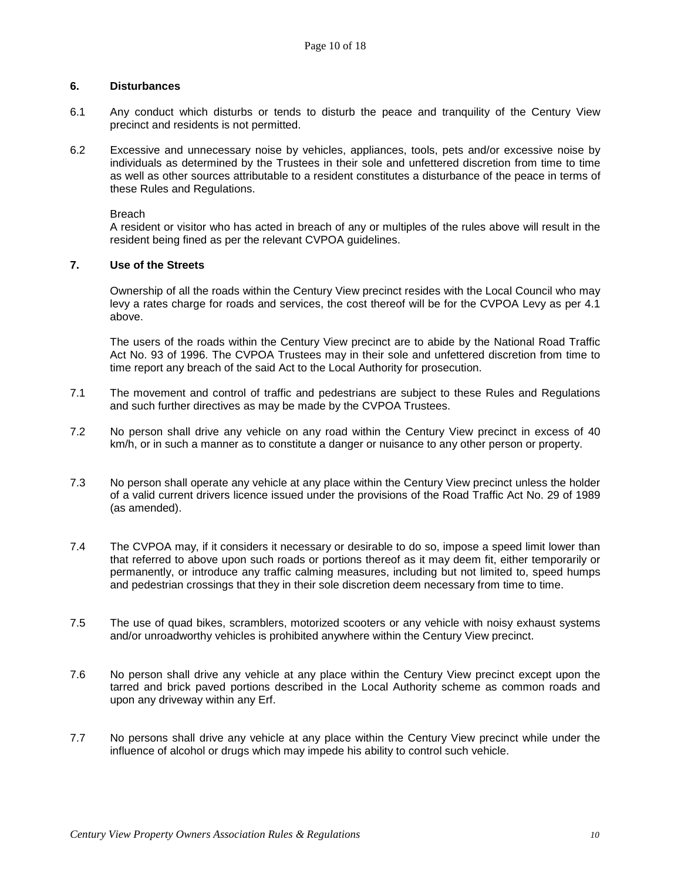## **6. Disturbances**

- 6.1 Any conduct which disturbs or tends to disturb the peace and tranquility of the Century View precinct and residents is not permitted.
- 6.2 Excessive and unnecessary noise by vehicles, appliances, tools, pets and/or excessive noise by individuals as determined by the Trustees in their sole and unfettered discretion from time to time as well as other sources attributable to a resident constitutes a disturbance of the peace in terms of these Rules and Regulations.

Breach

A resident or visitor who has acted in breach of any or multiples of the rules above will result in the resident being fined as per the relevant CVPOA guidelines.

# **7. Use of the Streets**

Ownership of all the roads within the Century View precinct resides with the Local Council who may levy a rates charge for roads and services, the cost thereof will be for the CVPOA Levy as per 4.1 above.

The users of the roads within the Century View precinct are to abide by the National Road Traffic Act No. 93 of 1996. The CVPOA Trustees may in their sole and unfettered discretion from time to time report any breach of the said Act to the Local Authority for prosecution.

- 7.1 The movement and control of traffic and pedestrians are subject to these Rules and Regulations and such further directives as may be made by the CVPOA Trustees.
- 7.2 No person shall drive any vehicle on any road within the Century View precinct in excess of 40 km/h, or in such a manner as to constitute a danger or nuisance to any other person or property.
- 7.3 No person shall operate any vehicle at any place within the Century View precinct unless the holder of a valid current drivers licence issued under the provisions of the Road Traffic Act No. 29 of 1989 (as amended).
- 7.4 The CVPOA may, if it considers it necessary or desirable to do so, impose a speed limit lower than that referred to above upon such roads or portions thereof as it may deem fit, either temporarily or permanently, or introduce any traffic calming measures, including but not limited to, speed humps and pedestrian crossings that they in their sole discretion deem necessary from time to time.
- 7.5 The use of quad bikes, scramblers, motorized scooters or any vehicle with noisy exhaust systems and/or unroadworthy vehicles is prohibited anywhere within the Century View precinct.
- 7.6 No person shall drive any vehicle at any place within the Century View precinct except upon the tarred and brick paved portions described in the Local Authority scheme as common roads and upon any driveway within any Erf.
- 7.7 No persons shall drive any vehicle at any place within the Century View precinct while under the influence of alcohol or drugs which may impede his ability to control such vehicle.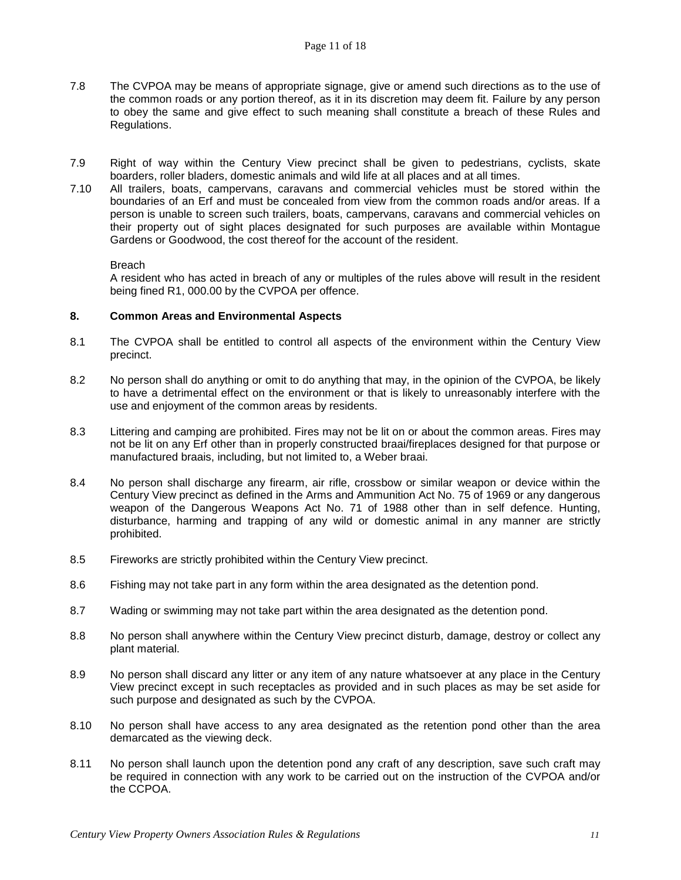- 7.8 The CVPOA may be means of appropriate signage, give or amend such directions as to the use of the common roads or any portion thereof, as it in its discretion may deem fit. Failure by any person to obey the same and give effect to such meaning shall constitute a breach of these Rules and Regulations.
- 7.9 Right of way within the Century View precinct shall be given to pedestrians, cyclists, skate boarders, roller bladers, domestic animals and wild life at all places and at all times.
- 7.10 All trailers, boats, campervans, caravans and commercial vehicles must be stored within the boundaries of an Erf and must be concealed from view from the common roads and/or areas. If a person is unable to screen such trailers, boats, campervans, caravans and commercial vehicles on their property out of sight places designated for such purposes are available within Montague Gardens or Goodwood, the cost thereof for the account of the resident.

A resident who has acted in breach of any or multiples of the rules above will result in the resident being fined R1, 000.00 by the CVPOA per offence.

# **8. Common Areas and Environmental Aspects**

- 8.1 The CVPOA shall be entitled to control all aspects of the environment within the Century View precinct.
- 8.2 No person shall do anything or omit to do anything that may, in the opinion of the CVPOA, be likely to have a detrimental effect on the environment or that is likely to unreasonably interfere with the use and enjoyment of the common areas by residents.
- 8.3 Littering and camping are prohibited. Fires may not be lit on or about the common areas. Fires may not be lit on any Erf other than in properly constructed braai/fireplaces designed for that purpose or manufactured braais, including, but not limited to, a Weber braai.
- 8.4 No person shall discharge any firearm, air rifle, crossbow or similar weapon or device within the Century View precinct as defined in the Arms and Ammunition Act No. 75 of 1969 or any dangerous weapon of the Dangerous Weapons Act No. 71 of 1988 other than in self defence. Hunting, disturbance, harming and trapping of any wild or domestic animal in any manner are strictly prohibited.
- 8.5 Fireworks are strictly prohibited within the Century View precinct.
- 8.6 Fishing may not take part in any form within the area designated as the detention pond.
- 8.7 Wading or swimming may not take part within the area designated as the detention pond.
- 8.8 No person shall anywhere within the Century View precinct disturb, damage, destroy or collect any plant material.
- 8.9 No person shall discard any litter or any item of any nature whatsoever at any place in the Century View precinct except in such receptacles as provided and in such places as may be set aside for such purpose and designated as such by the CVPOA.
- 8.10 No person shall have access to any area designated as the retention pond other than the area demarcated as the viewing deck.
- 8.11 No person shall launch upon the detention pond any craft of any description, save such craft may be required in connection with any work to be carried out on the instruction of the CVPOA and/or the CCPOA.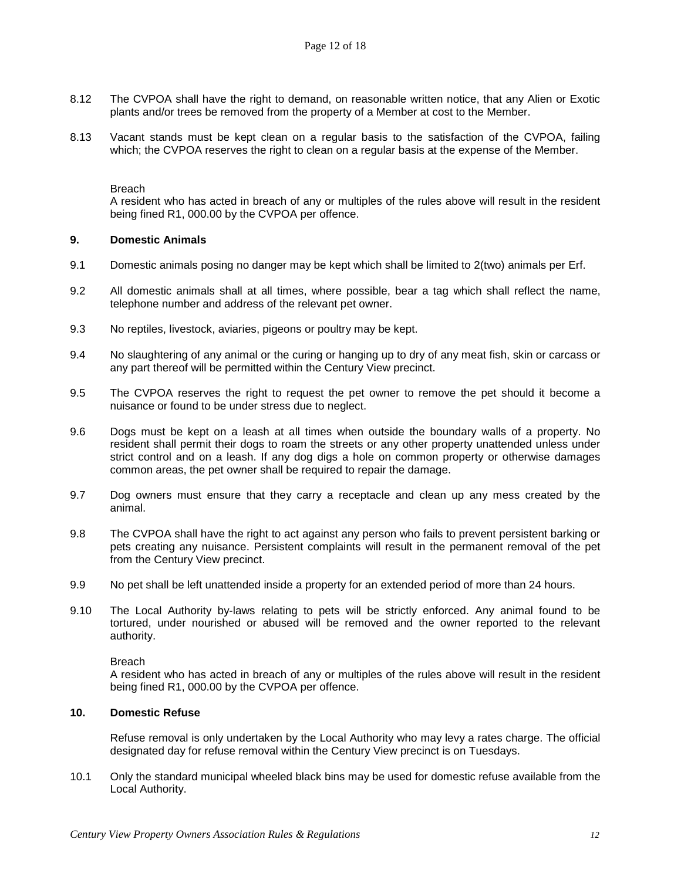- 8.12 The CVPOA shall have the right to demand, on reasonable written notice, that any Alien or Exotic plants and/or trees be removed from the property of a Member at cost to the Member.
- 8.13 Vacant stands must be kept clean on a regular basis to the satisfaction of the CVPOA, failing which; the CVPOA reserves the right to clean on a regular basis at the expense of the Member.

A resident who has acted in breach of any or multiples of the rules above will result in the resident being fined R1, 000.00 by the CVPOA per offence.

#### **9. Domestic Animals**

- 9.1 Domestic animals posing no danger may be kept which shall be limited to 2(two) animals per Erf.
- 9.2 All domestic animals shall at all times, where possible, bear a tag which shall reflect the name, telephone number and address of the relevant pet owner.
- 9.3 No reptiles, livestock, aviaries, pigeons or poultry may be kept.
- 9.4 No slaughtering of any animal or the curing or hanging up to dry of any meat fish, skin or carcass or any part thereof will be permitted within the Century View precinct.
- 9.5 The CVPOA reserves the right to request the pet owner to remove the pet should it become a nuisance or found to be under stress due to neglect.
- 9.6 Dogs must be kept on a leash at all times when outside the boundary walls of a property. No resident shall permit their dogs to roam the streets or any other property unattended unless under strict control and on a leash. If any dog digs a hole on common property or otherwise damages common areas, the pet owner shall be required to repair the damage.
- 9.7 Dog owners must ensure that they carry a receptacle and clean up any mess created by the animal.
- 9.8 The CVPOA shall have the right to act against any person who fails to prevent persistent barking or pets creating any nuisance. Persistent complaints will result in the permanent removal of the pet from the Century View precinct.
- 9.9 No pet shall be left unattended inside a property for an extended period of more than 24 hours.
- 9.10 The Local Authority by-laws relating to pets will be strictly enforced. Any animal found to be tortured, under nourished or abused will be removed and the owner reported to the relevant authority.

#### Breach

A resident who has acted in breach of any or multiples of the rules above will result in the resident being fined R1, 000.00 by the CVPOA per offence.

#### **10. Domestic Refuse**

Refuse removal is only undertaken by the Local Authority who may levy a rates charge. The official designated day for refuse removal within the Century View precinct is on Tuesdays.

10.1 Only the standard municipal wheeled black bins may be used for domestic refuse available from the Local Authority.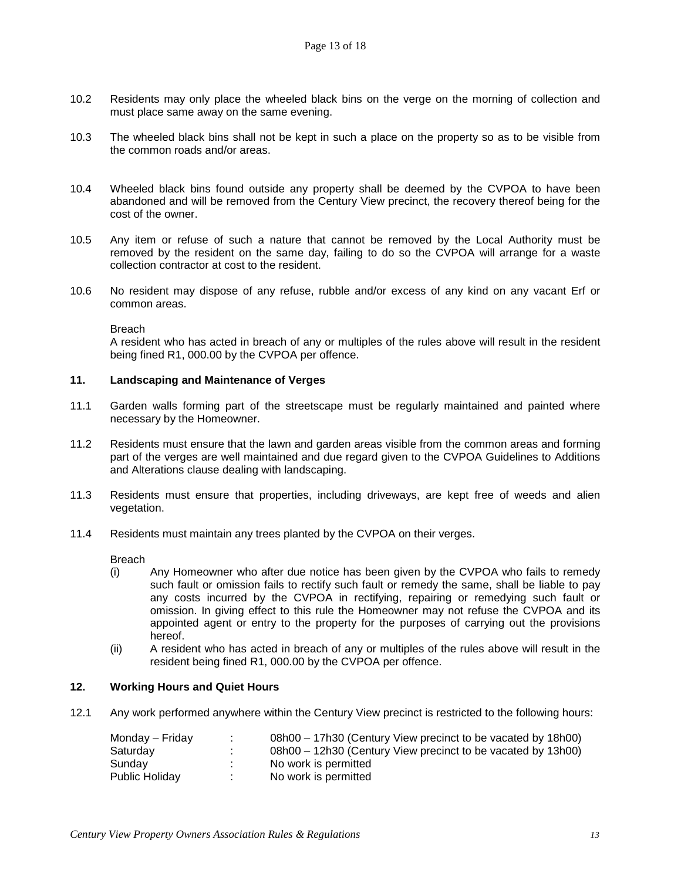- 10.2 Residents may only place the wheeled black bins on the verge on the morning of collection and must place same away on the same evening.
- 10.3 The wheeled black bins shall not be kept in such a place on the property so as to be visible from the common roads and/or areas.
- 10.4 Wheeled black bins found outside any property shall be deemed by the CVPOA to have been abandoned and will be removed from the Century View precinct, the recovery thereof being for the cost of the owner.
- 10.5 Any item or refuse of such a nature that cannot be removed by the Local Authority must be removed by the resident on the same day, failing to do so the CVPOA will arrange for a waste collection contractor at cost to the resident.
- 10.6 No resident may dispose of any refuse, rubble and/or excess of any kind on any vacant Erf or common areas.

A resident who has acted in breach of any or multiples of the rules above will result in the resident being fined R1, 000.00 by the CVPOA per offence.

#### **11. Landscaping and Maintenance of Verges**

- 11.1 Garden walls forming part of the streetscape must be regularly maintained and painted where necessary by the Homeowner.
- 11.2 Residents must ensure that the lawn and garden areas visible from the common areas and forming part of the verges are well maintained and due regard given to the CVPOA Guidelines to Additions and Alterations clause dealing with landscaping.
- 11.3 Residents must ensure that properties, including driveways, are kept free of weeds and alien vegetation.
- 11.4 Residents must maintain any trees planted by the CVPOA on their verges.

Breach

- (i) Any Homeowner who after due notice has been given by the CVPOA who fails to remedy such fault or omission fails to rectify such fault or remedy the same, shall be liable to pay any costs incurred by the CVPOA in rectifying, repairing or remedying such fault or omission. In giving effect to this rule the Homeowner may not refuse the CVPOA and its appointed agent or entry to the property for the purposes of carrying out the provisions hereof.
- (ii) A resident who has acted in breach of any or multiples of the rules above will result in the resident being fined R1, 000.00 by the CVPOA per offence.

# **12. Working Hours and Quiet Hours**

12.1 Any work performed anywhere within the Century View precinct is restricted to the following hours:

| Monday – Friday | 08h00 – 17h30 (Century View precinct to be vacated by 18h00) |
|-----------------|--------------------------------------------------------------|
| Saturday        | 08h00 – 12h30 (Century View precinct to be vacated by 13h00) |
| Sundav          | No work is permitted                                         |
| Public Holiday  | No work is permitted                                         |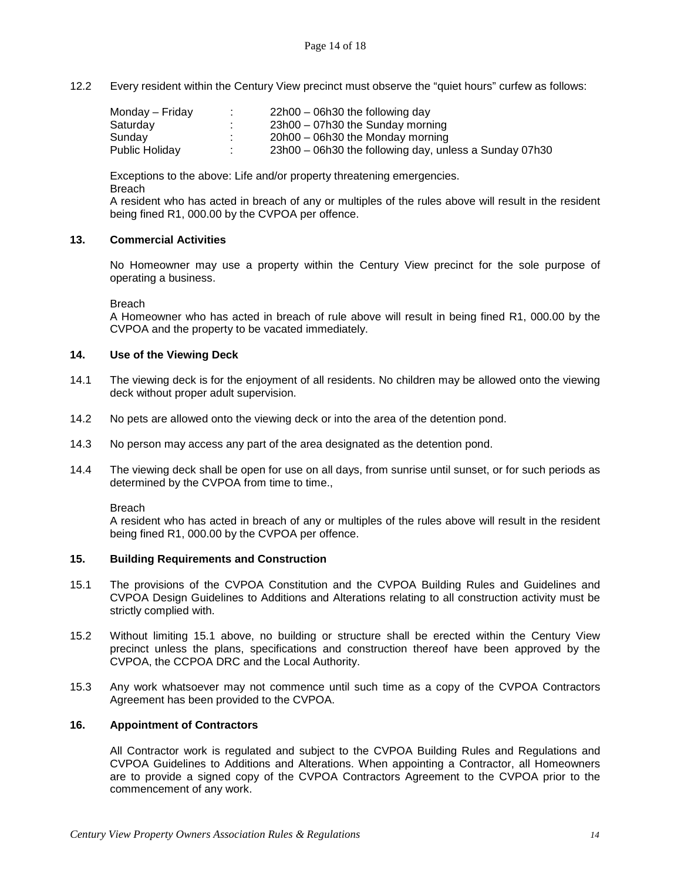12.2 Every resident within the Century View precinct must observe the "quiet hours" curfew as follows:

| Monday – Friday | $\mathbf{r}$ | $22h00 - 06h30$ the following day                      |
|-----------------|--------------|--------------------------------------------------------|
| Saturday        |              | $23h00 - 07h30$ the Sunday morning                     |
| Sunday          | $\sim$       | $20h00 - 06h30$ the Monday morning                     |
| Public Holidav  |              | 23h00 – 06h30 the following day, unless a Sunday 07h30 |

Exceptions to the above: Life and/or property threatening emergencies. Breach

A resident who has acted in breach of any or multiples of the rules above will result in the resident being fined R1, 000.00 by the CVPOA per offence.

# **13. Commercial Activities**

No Homeowner may use a property within the Century View precinct for the sole purpose of operating a business.

**Breach** 

A Homeowner who has acted in breach of rule above will result in being fined R1, 000.00 by the CVPOA and the property to be vacated immediately.

## **14. Use of the Viewing Deck**

- 14.1 The viewing deck is for the enjoyment of all residents. No children may be allowed onto the viewing deck without proper adult supervision.
- 14.2 No pets are allowed onto the viewing deck or into the area of the detention pond.
- 14.3 No person may access any part of the area designated as the detention pond.
- 14.4 The viewing deck shall be open for use on all days, from sunrise until sunset, or for such periods as determined by the CVPOA from time to time.,

Breach

A resident who has acted in breach of any or multiples of the rules above will result in the resident being fined R1, 000.00 by the CVPOA per offence.

#### **15. Building Requirements and Construction**

- 15.1 The provisions of the CVPOA Constitution and the CVPOA Building Rules and Guidelines and CVPOA Design Guidelines to Additions and Alterations relating to all construction activity must be strictly complied with.
- 15.2 Without limiting 15.1 above, no building or structure shall be erected within the Century View precinct unless the plans, specifications and construction thereof have been approved by the CVPOA, the CCPOA DRC and the Local Authority.
- 15.3 Any work whatsoever may not commence until such time as a copy of the CVPOA Contractors Agreement has been provided to the CVPOA.

#### **16. Appointment of Contractors**

All Contractor work is regulated and subject to the CVPOA Building Rules and Regulations and CVPOA Guidelines to Additions and Alterations. When appointing a Contractor, all Homeowners are to provide a signed copy of the CVPOA Contractors Agreement to the CVPOA prior to the commencement of any work.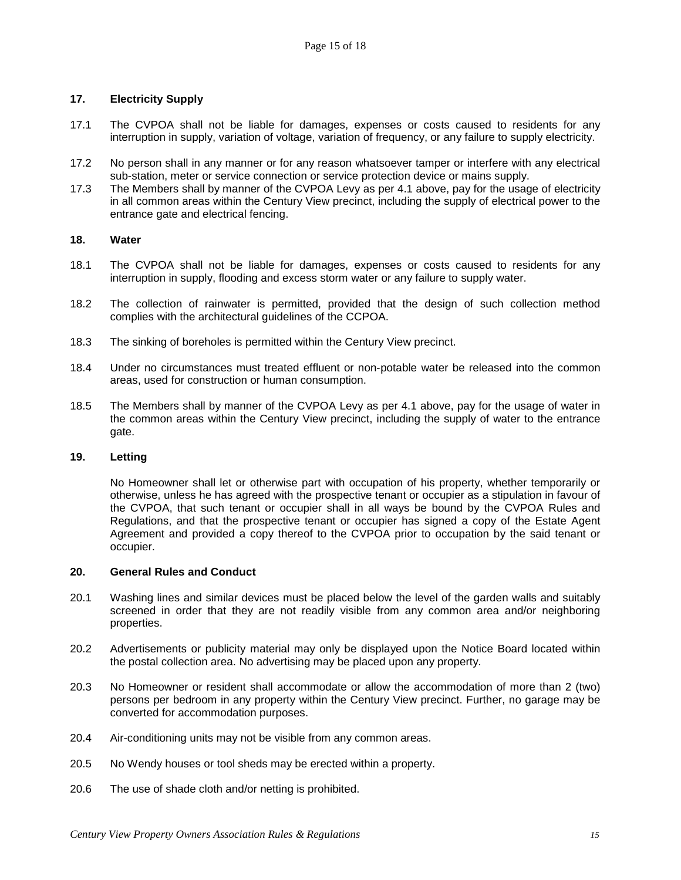# **17. Electricity Supply**

- 17.1 The CVPOA shall not be liable for damages, expenses or costs caused to residents for any interruption in supply, variation of voltage, variation of frequency, or any failure to supply electricity.
- 17.2 No person shall in any manner or for any reason whatsoever tamper or interfere with any electrical sub-station, meter or service connection or service protection device or mains supply.
- 17.3 The Members shall by manner of the CVPOA Levy as per 4.1 above, pay for the usage of electricity in all common areas within the Century View precinct, including the supply of electrical power to the entrance gate and electrical fencing.

#### **18. Water**

- 18.1 The CVPOA shall not be liable for damages, expenses or costs caused to residents for any interruption in supply, flooding and excess storm water or any failure to supply water.
- 18.2 The collection of rainwater is permitted, provided that the design of such collection method complies with the architectural guidelines of the CCPOA.
- 18.3 The sinking of boreholes is permitted within the Century View precinct.
- 18.4 Under no circumstances must treated effluent or non-potable water be released into the common areas, used for construction or human consumption.
- 18.5 The Members shall by manner of the CVPOA Levy as per 4.1 above, pay for the usage of water in the common areas within the Century View precinct, including the supply of water to the entrance gate.

#### **19. Letting**

No Homeowner shall let or otherwise part with occupation of his property, whether temporarily or otherwise, unless he has agreed with the prospective tenant or occupier as a stipulation in favour of the CVPOA, that such tenant or occupier shall in all ways be bound by the CVPOA Rules and Regulations, and that the prospective tenant or occupier has signed a copy of the Estate Agent Agreement and provided a copy thereof to the CVPOA prior to occupation by the said tenant or occupier.

#### **20. General Rules and Conduct**

- 20.1 Washing lines and similar devices must be placed below the level of the garden walls and suitably screened in order that they are not readily visible from any common area and/or neighboring properties.
- 20.2 Advertisements or publicity material may only be displayed upon the Notice Board located within the postal collection area. No advertising may be placed upon any property.
- 20.3 No Homeowner or resident shall accommodate or allow the accommodation of more than 2 (two) persons per bedroom in any property within the Century View precinct. Further, no garage may be converted for accommodation purposes.
- 20.4 Air-conditioning units may not be visible from any common areas.
- 20.5 No Wendy houses or tool sheds may be erected within a property.
- 20.6 The use of shade cloth and/or netting is prohibited.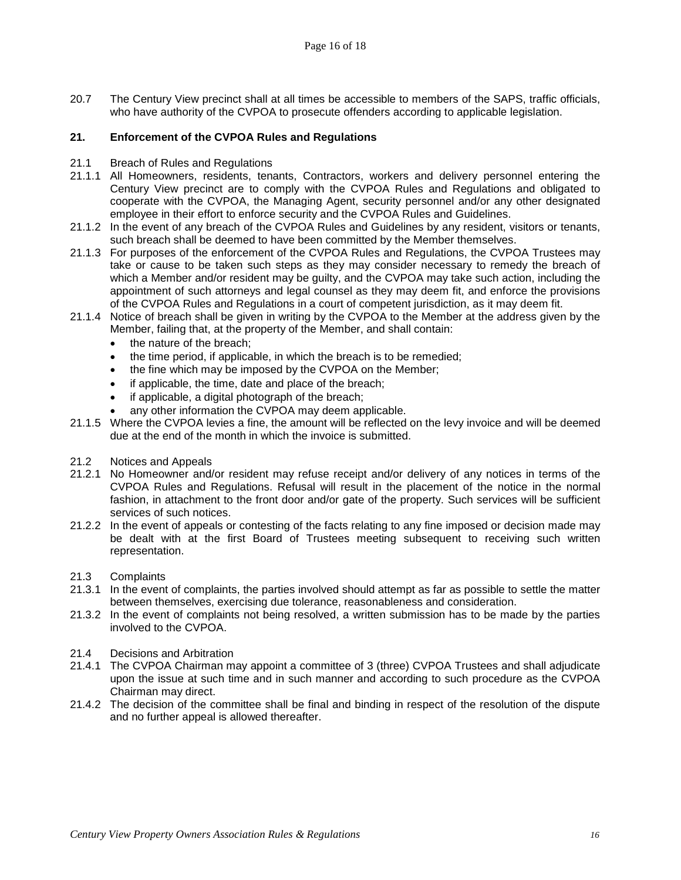20.7 The Century View precinct shall at all times be accessible to members of the SAPS, traffic officials, who have authority of the CVPOA to prosecute offenders according to applicable legislation.

# **21. Enforcement of the CVPOA Rules and Regulations**

- 21.1 Breach of Rules and Regulations
- 21.1.1 All Homeowners, residents, tenants, Contractors, workers and delivery personnel entering the Century View precinct are to comply with the CVPOA Rules and Regulations and obligated to cooperate with the CVPOA, the Managing Agent, security personnel and/or any other designated employee in their effort to enforce security and the CVPOA Rules and Guidelines.
- 21.1.2 In the event of any breach of the CVPOA Rules and Guidelines by any resident, visitors or tenants, such breach shall be deemed to have been committed by the Member themselves.
- 21.1.3 For purposes of the enforcement of the CVPOA Rules and Regulations, the CVPOA Trustees may take or cause to be taken such steps as they may consider necessary to remedy the breach of which a Member and/or resident may be guilty, and the CVPOA may take such action, including the appointment of such attorneys and legal counsel as they may deem fit, and enforce the provisions of the CVPOA Rules and Regulations in a court of competent jurisdiction, as it may deem fit.
- 21.1.4 Notice of breach shall be given in writing by the CVPOA to the Member at the address given by the Member, failing that, at the property of the Member, and shall contain:
	- the nature of the breach;
	- the time period, if applicable, in which the breach is to be remedied;
	- the fine which may be imposed by the CVPOA on the Member;
	- if applicable, the time, date and place of the breach;
	- if applicable, a digital photograph of the breach;
	- any other information the CVPOA may deem applicable.
- 21.1.5 Where the CVPOA levies a fine, the amount will be reflected on the levy invoice and will be deemed due at the end of the month in which the invoice is submitted.
- 21.2 Notices and Appeals
- 21.2.1 No Homeowner and/or resident may refuse receipt and/or delivery of any notices in terms of the CVPOA Rules and Regulations. Refusal will result in the placement of the notice in the normal fashion, in attachment to the front door and/or gate of the property. Such services will be sufficient services of such notices.
- 21.2.2 In the event of appeals or contesting of the facts relating to any fine imposed or decision made may be dealt with at the first Board of Trustees meeting subsequent to receiving such written representation.
- 21.3 Complaints
- 21.3.1 In the event of complaints, the parties involved should attempt as far as possible to settle the matter between themselves, exercising due tolerance, reasonableness and consideration.
- 21.3.2 In the event of complaints not being resolved, a written submission has to be made by the parties involved to the CVPOA.
- 21.4 Decisions and Arbitration
- 21.4.1 The CVPOA Chairman may appoint a committee of 3 (three) CVPOA Trustees and shall adjudicate upon the issue at such time and in such manner and according to such procedure as the CVPOA Chairman may direct.
- 21.4.2 The decision of the committee shall be final and binding in respect of the resolution of the dispute and no further appeal is allowed thereafter.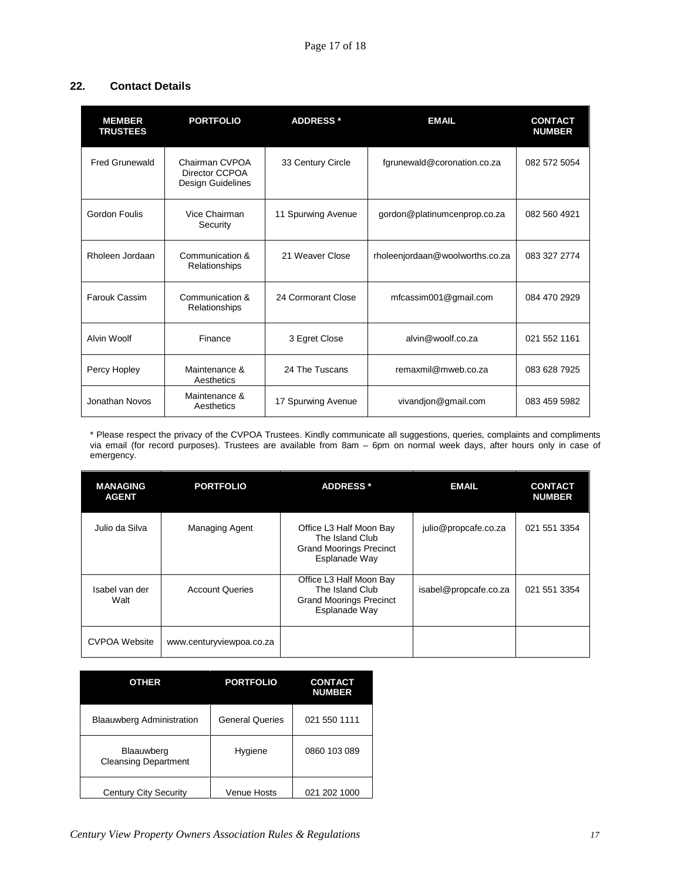# **22. Contact Details**

| <b>MEMBER</b><br><b>TRUSTEES</b>                  | <b>PORTFOLIO</b>                                      | <b>ADDRESS*</b>                                    | <b>EMAIL</b>                    | <b>CONTACT</b><br><b>NUMBER</b> |
|---------------------------------------------------|-------------------------------------------------------|----------------------------------------------------|---------------------------------|---------------------------------|
| <b>Fred Grunewald</b>                             | Chairman CVPOA<br>Director CCPOA<br>Design Guidelines | 33 Century Circle                                  | fgrunewald@coronation.co.za     | 082 572 5054                    |
| Gordon Foulis                                     | Vice Chairman<br>Security                             | 11 Spurwing Avenue<br>gordon@platinumcenprop.co.za |                                 | 082 560 4921                    |
| Rholeen Jordaan                                   | Communication &<br>Relationships                      | 21 Weaver Close                                    | rholeenjordaan@woolworths.co.za | 083 327 2774                    |
| Farouk Cassim<br>Communication &<br>Relationships |                                                       | 24 Cormorant Close                                 | mfcassim001@gmail.com           | 084 470 2929                    |
| Alvin Woolf                                       | Finance                                               | 3 Egret Close                                      | alvin@woolf.co.za               | 021 552 1161                    |
| Percy Hopley                                      | Maintenance &<br>Aesthetics                           | 24 The Tuscans                                     | remaxmil@mweb.co.za             | 083 628 7925                    |
| Jonathan Novos                                    | Maintenance &<br>Aesthetics                           | 17 Spurwing Avenue                                 | vivandjon@gmail.com             | 083 459 5982                    |

\* Please respect the privacy of the CVPOA Trustees. Kindly communicate all suggestions, queries, complaints and compliments via email (for record purposes). Trustees are available from 8am – 6pm on normal week days, after hours only in case of emergency.

| <b>MANAGING</b><br><b>AGENT</b> | <b>PORTFOLIO</b>         | <b>ADDRESS*</b>                                                                               | <b>EMAIL</b>          | <b>CONTACT</b><br><b>NUMBER</b> |
|---------------------------------|--------------------------|-----------------------------------------------------------------------------------------------|-----------------------|---------------------------------|
| Julio da Silva                  | Managing Agent           | Office L3 Half Moon Bay<br>The Island Club<br><b>Grand Moorings Precinct</b><br>Esplanade Way | julio@propcafe.co.za  | 021 551 3354                    |
| Isabel van der<br>Walt          | <b>Account Queries</b>   | Office L3 Half Moon Bay<br>The Island Club<br><b>Grand Moorings Precinct</b><br>Esplanade Way | isabel@propcafe.co.za | 021 551 3354                    |
| <b>CVPOA Website</b>            | www.centuryviewpoa.co.za |                                                                                               |                       |                                 |

| <b>OTHER</b>                              | <b>PORTFOLIO</b>       | <b>CONTACT</b><br><b>NUMBER</b> |
|-------------------------------------------|------------------------|---------------------------------|
| <b>Blaauwberg Administration</b>          | <b>General Queries</b> | 021 550 1111                    |
| Blaauwberg<br><b>Cleansing Department</b> | Hygiene                | 0860 103 089                    |
| Century City Security                     | Venue Hosts            | 021 202 1000                    |